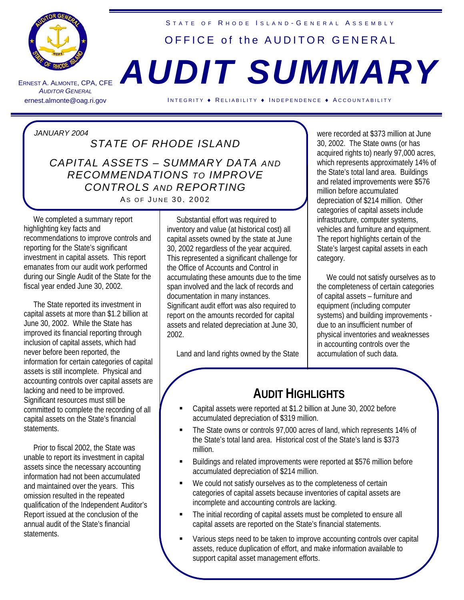

ERNEST A. A LMONTE , CPA, CFE **AUDITOR GENERAL** 

## STATE OF RHODE ISLAND-GENERAL ASSEMBLY OFFICE of the AUDITOR GENERAL

## *AUDIT SUMMARY*

ernest.almonte@oag.ri.gov INTEGRITY ♦ RELIABILITY ♦ INDEPENDENCE ♦ ACCOUNTABILITY

*JANUARY 2004 STATE OF RHODE ISLAND CAPITAL ASSETS – SUMMARY DATA AND RECOMMENDATIONS TO IMPROVE CONTROLS AND REPORTING*  AS OF JUNE 30, 2002

 We completed a summary report highlighting key facts and recommendations to improve controls and reporting for the State's significant investment in capital assets. This report emanates from our audit work performed during our Single Audit of the State for the fiscal year ended June 30, 2002.

 The State reported its investment in capital assets at more than \$1.2 billion at June 30, 2002. While the State has improved its financial reporting through inclusion of capital assets, which had never before been reported, the information for certain categories of capital assets is still incomplete. Physical and accounting controls over capital assets are lacking and need to be improved. Significant resources must still be committed to complete the recording of all capital assets on the State's financial statements.

 Prior to fiscal 2002, the State was unable to report its investment in capital assets since the necessary accounting information had not been accumulated and maintained over the years. This omission resulted in the repeated qualification of the Independent Auditor's Report issued at the conclusion of the annual audit of the State's financial statements.

 Substantial effort was required to inventory and value (at historical cost) all capital assets owned by the state at June 30, 2002 regardless of the year acquired. This represented a significant challenge for the Office of Accounts and Control in accumulating these amounts due to the time span involved and the lack of records and documentation in many instances. Significant audit effort was also required to report on the amounts recorded for capital assets and related depreciation at June 30, 2002.

Land and land rights owned by the State

were recorded at \$373 million at June 30, 2002. The State owns (or has acquired rights to) nearly 97,000 acres, which represents approximately 14% of the State's total land area. Buildings and related improvements were \$576 million before accumulated depreciation of \$214 million. Other categories of capital assets include infrastructure, computer systems, vehicles and furniture and equipment. The report highlights certain of the State's largest capital assets in each category.

 We could not satisfy ourselves as to the completeness of certain categories of capital assets – furniture and equipment (including computer systems) and building improvements due to an insufficient number of physical inventories and weaknesses in accounting controls over the accumulation of such data.

## **AUDIT HIGHLIGHTS**

- Capital assets were reported at \$1.2 billion at June 30, 2002 before accumulated depreciation of \$319 million.
- The State owns or controls 97,000 acres of land, which represents 14% of the State's total land area. Historical cost of the State's land is \$373 million.
- Buildings and related improvements were reported at \$576 million before accumulated depreciation of \$214 million.
- We could not satisfy ourselves as to the completeness of certain categories of capital assets because inventories of capital assets are incomplete and accounting controls are lacking.
- The initial recording of capital assets must be completed to ensure all capital assets are reported on the State's financial statements.
- Various steps need to be taken to improve accounting controls over capital assets, reduce duplication of effort, and make information available to support capital asset management efforts.